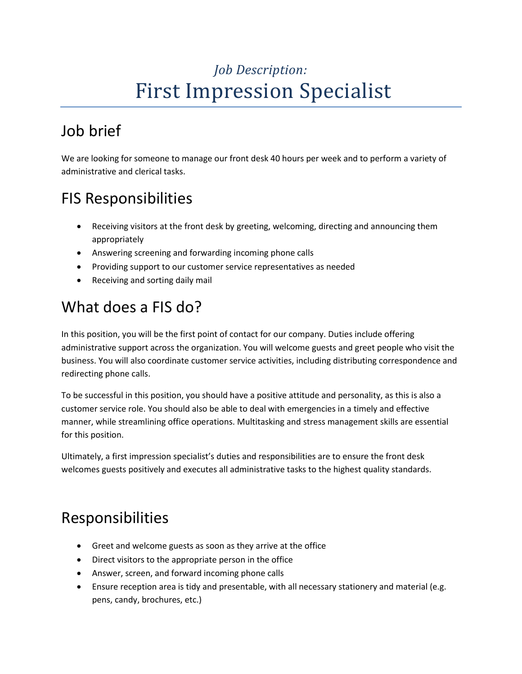# *Job Description:* First Impression Specialist

## Job brief

We are looking for someone to manage our front desk 40 hours per week and to perform a variety of administrative and clerical tasks.

### FIS Responsibilities

- Receiving visitors at the front desk by greeting, welcoming, directing and announcing them appropriately
- Answering screening and forwarding incoming phone calls
- Providing support to our customer service representatives as needed
- Receiving and sorting daily mail

### What does a FIS do?

In this position, you will be the first point of contact for our company. Duties include offering administrative support across the organization. You will welcome guests and greet people who visit the business. You will also coordinate customer service activities, including distributing correspondence and redirecting phone calls.

To be successful in this position, you should have a positive attitude and personality, as this is also a customer service role. You should also be able to deal with emergencies in a timely and effective manner, while streamlining office operations. Multitasking an[d stress management skills](https://resources.workable.com/stress-management-interview-questions) are essential for this position.

Ultimately, a first impression specialist's duties and responsibilities are to ensure the front desk welcomes guests positively and executes all administrative tasks to the highest quality standards.

#### Responsibilities

- Greet and welcome guests as soon as they arrive at the office
- Direct visitors to the appropriate person in the office
- Answer, screen, and forward incoming phone calls
- Ensure reception area is tidy and presentable, with all necessary stationery and material (e.g. pens, candy, brochures, etc.)